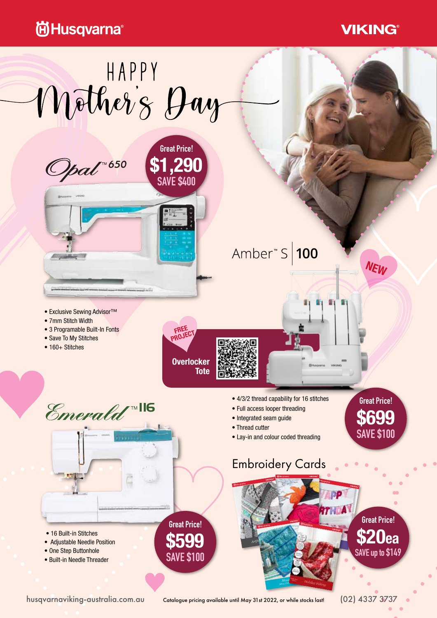## **尚Husqvarna**<sup>®</sup>

### **VIKING®**